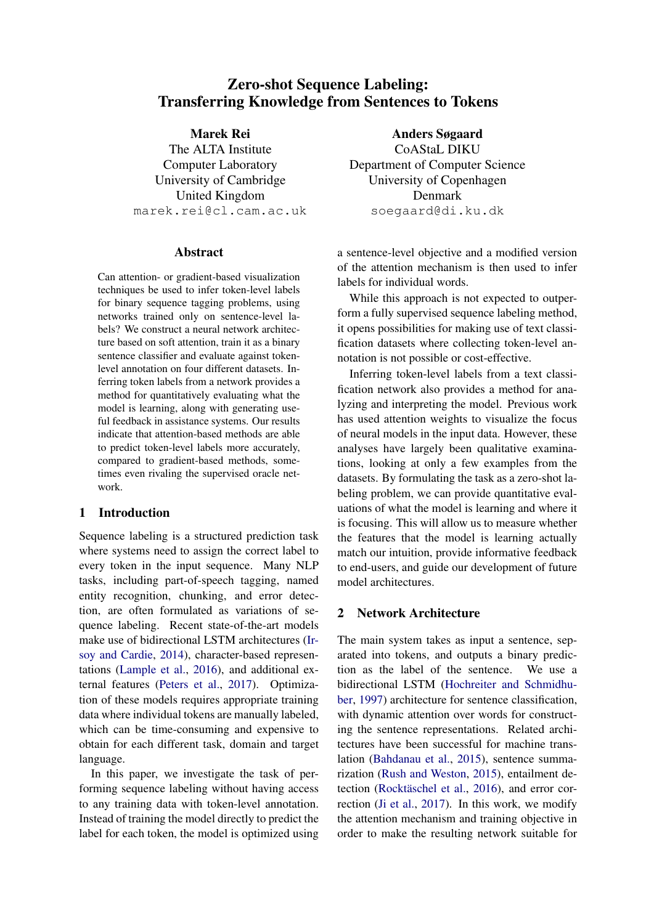# Zero-shot Sequence Labeling: Transferring Knowledge from Sentences to Tokens

## Marek Rei

The ALTA Institute Computer Laboratory University of Cambridge United Kingdom marek.rei@cl.cam.ac.uk

### Abstract

Can attention- or gradient-based visualization techniques be used to infer token-level labels for binary sequence tagging problems, using networks trained only on sentence-level labels? We construct a neural network architecture based on soft attention, train it as a binary sentence classifier and evaluate against tokenlevel annotation on four different datasets. Inferring token labels from a network provides a method for quantitatively evaluating what the model is learning, along with generating useful feedback in assistance systems. Our results indicate that attention-based methods are able to predict token-level labels more accurately, compared to gradient-based methods, sometimes even rivaling the supervised oracle network.

## 1 Introduction

Sequence labeling is a structured prediction task where systems need to assign the correct label to every token in the input sequence. Many NLP tasks, including part-of-speech tagging, named entity recognition, chunking, and error detection, are often formulated as variations of sequence labeling. Recent state-of-the-art models make use of bidirectional LSTM architectures [\(Ir](#page-8-0)[soy and Cardie,](#page-8-0) [2014\)](#page-8-0), character-based representations [\(Lample et al.,](#page-9-0) [2016\)](#page-9-0), and additional external features [\(Peters et al.,](#page-9-1) [2017\)](#page-9-1). Optimization of these models requires appropriate training data where individual tokens are manually labeled, which can be time-consuming and expensive to obtain for each different task, domain and target language.

In this paper, we investigate the task of performing sequence labeling without having access to any training data with token-level annotation. Instead of training the model directly to predict the label for each token, the model is optimized using

Anders Søgaard CoAStaL DIKU Department of Computer Science University of Copenhagen Denmark soegaard@di.ku.dk

a sentence-level objective and a modified version of the attention mechanism is then used to infer labels for individual words.

While this approach is not expected to outperform a fully supervised sequence labeling method, it opens possibilities for making use of text classification datasets where collecting token-level annotation is not possible or cost-effective.

Inferring token-level labels from a text classification network also provides a method for analyzing and interpreting the model. Previous work has used attention weights to visualize the focus of neural models in the input data. However, these analyses have largely been qualitative examinations, looking at only a few examples from the datasets. By formulating the task as a zero-shot labeling problem, we can provide quantitative evaluations of what the model is learning and where it is focusing. This will allow us to measure whether the features that the model is learning actually match our intuition, provide informative feedback to end-users, and guide our development of future model architectures.

## <span id="page-0-0"></span>2 Network Architecture

The main system takes as input a sentence, separated into tokens, and outputs a binary prediction as the label of the sentence. We use a bidirectional LSTM [\(Hochreiter and Schmidhu](#page-8-1)[ber,](#page-8-1) [1997\)](#page-8-1) architecture for sentence classification, with dynamic attention over words for constructing the sentence representations. Related architectures have been successful for machine translation [\(Bahdanau et al.,](#page-8-2) [2015\)](#page-8-2), sentence summarization [\(Rush and Weston,](#page-9-2) [2015\)](#page-9-2), entailment de-tection (Rocktäschel et al., [2016\)](#page-9-3), and error correction [\(Ji et al.,](#page-9-4) [2017\)](#page-9-4). In this work, we modify the attention mechanism and training objective in order to make the resulting network suitable for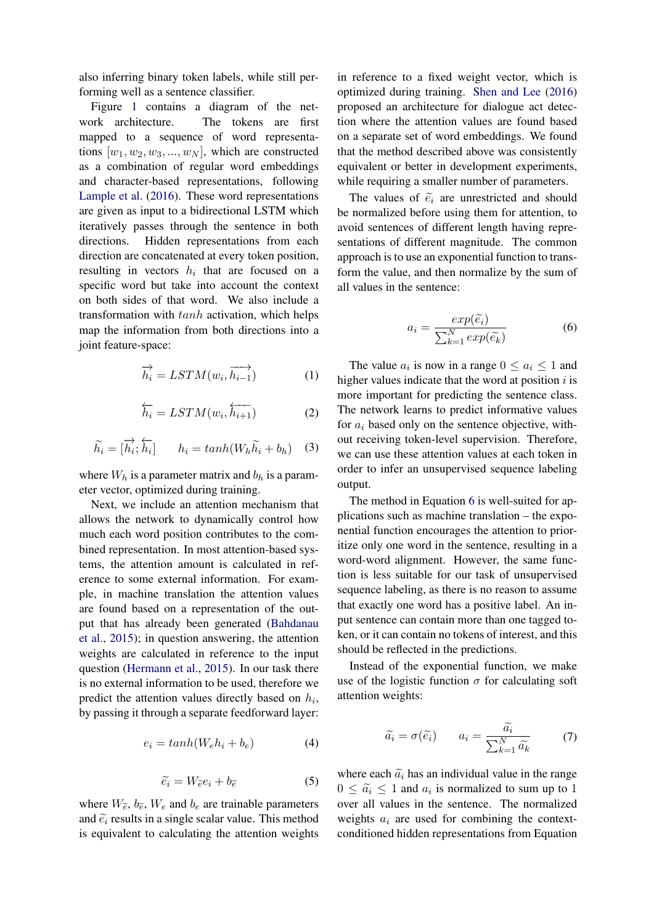also inferring binary token labels, while still performing well as a sentence classifier.

Figure [1](#page-2-0) contains a diagram of the network architecture. The tokens are first mapped to a sequence of word representations  $[w_1, w_2, w_3, ..., w_N]$ , which are constructed as a combination of regular word embeddings and character-based representations, following [Lample et al.](#page-9-0) [\(2016\)](#page-9-0). These word representations are given as input to a bidirectional LSTM which iteratively passes through the sentence in both directions. Hidden representations from each direction are concatenated at every token position, resulting in vectors  $h_i$  that are focused on a specific word but take into account the context on both sides of that word. We also include a transformation with tanh activation, which helps map the information from both directions into a joint feature-space:

$$
\overrightarrow{h_i} = LSTM(w_i, \overrightarrow{h_{i-1}})
$$
 (1)

$$
\overleftarrow{h_i} = LSTM(w_i, \overleftarrow{h_{i+1}}) \tag{2}
$$

<span id="page-1-1"></span>
$$
\widetilde{h_i} = [\overrightarrow{h_i}; \overleftarrow{h_i}] \qquad h_i = \tanh(W_h \widetilde{h_i} + b_h) \quad (3)
$$

where  $W_h$  is a parameter matrix and  $b_h$  is a parameter vector, optimized during training.

Next, we include an attention mechanism that allows the network to dynamically control how much each word position contributes to the combined representation. In most attention-based systems, the attention amount is calculated in reference to some external information. For example, in machine translation the attention values are found based on a representation of the output that has already been generated [\(Bahdanau](#page-8-2) [et al.,](#page-8-2) [2015\)](#page-8-2); in question answering, the attention weights are calculated in reference to the input question [\(Hermann et al.,](#page-8-3) [2015\)](#page-8-3). In our task there is no external information to be used, therefore we predict the attention values directly based on  $h_i$ , by passing it through a separate feedforward layer:

$$
e_i = \tanh(W_e h_i + b_e) \tag{4}
$$

$$
\widetilde{e_i} = W_{\widetilde{e}} e_i + b_{\widetilde{e}} \tag{5}
$$

where  $W_{\tilde{e}}$ ,  $b_{\tilde{e}}$ ,  $W_e$  and  $b_e$  are trainable parameters and  $\tilde{e}_i$  results in a single scalar value. This method is equivalent to calculating the attention weights

in reference to a fixed weight vector, which is optimized during training. [Shen and Lee](#page-9-5) [\(2016\)](#page-9-5) proposed an architecture for dialogue act detection where the attention values are found based on a separate set of word embeddings. We found that the method described above was consistently equivalent or better in development experiments, while requiring a smaller number of parameters.

The values of  $\tilde{e}_i$  are unrestricted and should be normalized before using them for attention, to avoid sentences of different length having representations of different magnitude. The common approach is to use an exponential function to transform the value, and then normalize by the sum of all values in the sentence:

$$
a_i = \frac{exp(\tilde{e}_i)}{\sum_{k=1}^{N} exp(\tilde{e}_k)}
$$
 (6)

<span id="page-1-0"></span>The value  $a_i$  is now in a range  $0 \le a_i \le 1$  and higher values indicate that the word at position  $i$  is more important for predicting the sentence class. The network learns to predict informative values for  $a_i$  based only on the sentence objective, without receiving token-level supervision. Therefore, we can use these attention values at each token in order to infer an unsupervised sequence labeling output.

The method in Equation [6](#page-1-0) is well-suited for applications such as machine translation – the exponential function encourages the attention to prioritize only one word in the sentence, resulting in a word-word alignment. However, the same function is less suitable for our task of unsupervised sequence labeling, as there is no reason to assume that exactly one word has a positive label. An input sentence can contain more than one tagged token, or it can contain no tokens of interest, and this should be reflected in the predictions.

Instead of the exponential function, we make use of the logistic function  $\sigma$  for calculating soft attention weights:

$$
\widetilde{a_i} = \sigma(\widetilde{e_i}) \qquad a_i = \frac{\widetilde{a_i}}{\sum_{k=1}^N \widetilde{a_k}} \qquad (7)
$$

where each  $\tilde{a}_i$  has an individual value in the range  $0 \leq \tilde{a}_i \leq 1$  and  $a_i$  is normalized to sum up to 1 over all values in the sentence. The normalized weights  $a_i$  are used for combining the contextconditioned hidden representations from Equation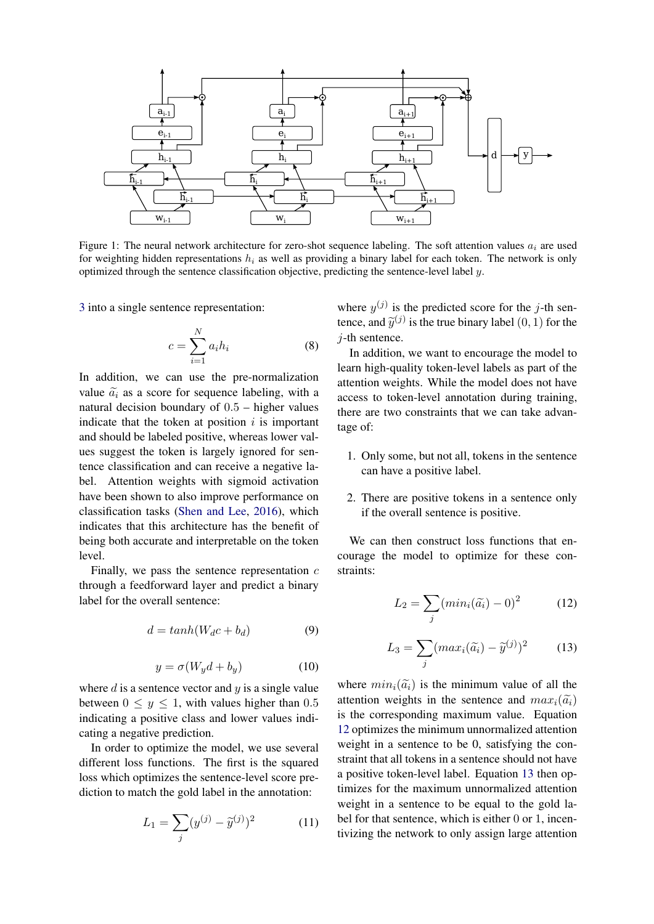

<span id="page-2-0"></span>Figure 1: The neural network architecture for zero-shot sequence labeling. The soft attention values  $a_i$  are used for weighting hidden representations  $h_i$  as well as providing a binary label for each token. The network is only optimized through the sentence classification objective, predicting the sentence-level label y.

[3](#page-1-1) into a single sentence representation:

$$
c = \sum_{i=1}^{N} a_i h_i \tag{8}
$$

In addition, we can use the pre-normalization value  $\tilde{a}_i$  as a score for sequence labeling, with a natural decision boundary of  $0.5$  – higher values indicate that the token at position  $i$  is important and should be labeled positive, whereas lower values suggest the token is largely ignored for sentence classification and can receive a negative label. Attention weights with sigmoid activation have been shown to also improve performance on classification tasks [\(Shen and Lee,](#page-9-5) [2016\)](#page-9-5), which indicates that this architecture has the benefit of being both accurate and interpretable on the token level.

Finally, we pass the sentence representation  $c$ through a feedforward layer and predict a binary label for the overall sentence:

$$
d = \tanh(W_d c + b_d) \tag{9}
$$

$$
y = \sigma(W_y d + b_y) \tag{10}
$$

where  $d$  is a sentence vector and  $y$  is a single value between  $0 \leq y \leq 1$ , with values higher than 0.5 indicating a positive class and lower values indicating a negative prediction.

<span id="page-2-3"></span>In order to optimize the model, we use several different loss functions. The first is the squared loss which optimizes the sentence-level score prediction to match the gold label in the annotation:

$$
L_1 = \sum_{j} (y^{(j)} - \tilde{y}^{(j)})^2 \tag{11}
$$

where  $y^{(j)}$  is the predicted score for the j-th sentence, and  $\tilde{y}^{(j)}$  is the true binary label  $(0, 1)$  for the  $i$ -th sentence.

In addition, we want to encourage the model to learn high-quality token-level labels as part of the attention weights. While the model does not have access to token-level annotation during training, there are two constraints that we can take advantage of:

- 1. Only some, but not all, tokens in the sentence can have a positive label.
- 2. There are positive tokens in a sentence only if the overall sentence is positive.

<span id="page-2-1"></span>We can then construct loss functions that encourage the model to optimize for these constraints:

$$
L_2 = \sum_j (min_i(\widetilde{a_i}) - 0)^2 \tag{12}
$$

$$
L_3 = \sum_j (max_i(\widetilde{a_i}) - \widetilde{y}^{(j)})^2 \tag{13}
$$

<span id="page-2-2"></span>where  $min_i(\tilde{a}_i)$  is the minimum value of all the attention weights in the sentence and  $max_i(\tilde{a}_i)$ is the corresponding maximum value. Equation [12](#page-2-1) optimizes the minimum unnormalized attention weight in a sentence to be 0, satisfying the constraint that all tokens in a sentence should not have a positive token-level label. Equation [13](#page-2-2) then optimizes for the maximum unnormalized attention weight in a sentence to be equal to the gold label for that sentence, which is either 0 or 1, incentivizing the network to only assign large attention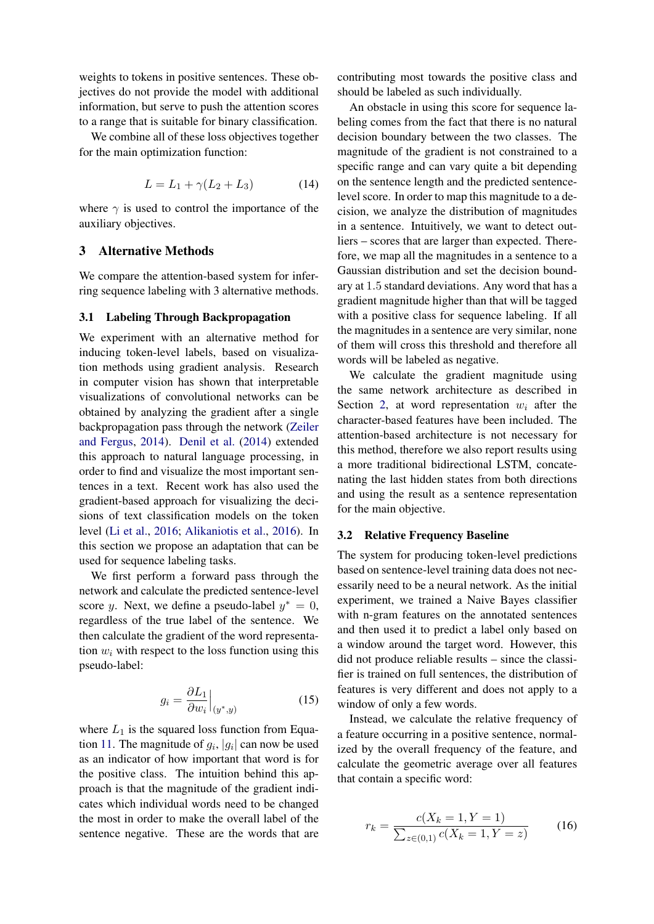weights to tokens in positive sentences. These objectives do not provide the model with additional information, but serve to push the attention scores to a range that is suitable for binary classification.

We combine all of these loss objectives together for the main optimization function:

$$
L = L_1 + \gamma (L_2 + L_3) \tag{14}
$$

where  $\gamma$  is used to control the importance of the auxiliary objectives.

## 3 Alternative Methods

We compare the attention-based system for inferring sequence labeling with 3 alternative methods.

#### <span id="page-3-1"></span>3.1 Labeling Through Backpropagation

We experiment with an alternative method for inducing token-level labels, based on visualization methods using gradient analysis. Research in computer vision has shown that interpretable visualizations of convolutional networks can be obtained by analyzing the gradient after a single backpropagation pass through the network [\(Zeiler](#page-9-6) [and Fergus,](#page-9-6) [2014\)](#page-9-6). [Denil et al.](#page-8-4) [\(2014\)](#page-8-4) extended this approach to natural language processing, in order to find and visualize the most important sentences in a text. Recent work has also used the gradient-based approach for visualizing the decisions of text classification models on the token level [\(Li et al.,](#page-9-7) [2016;](#page-9-7) [Alikaniotis et al.,](#page-8-5) [2016\)](#page-8-5). In this section we propose an adaptation that can be used for sequence labeling tasks.

We first perform a forward pass through the network and calculate the predicted sentence-level score y. Next, we define a pseudo-label  $y^* = 0$ , regardless of the true label of the sentence. We then calculate the gradient of the word representation  $w_i$  with respect to the loss function using this pseudo-label:

$$
g_i = \frac{\partial L_1}{\partial w_i}\Big|_{(y^*,y)}\tag{15}
$$

where  $L_1$  is the squared loss function from Equa-tion [11.](#page-2-3) The magnitude of  $g_i$ ,  $|g_i|$  can now be used as an indicator of how important that word is for the positive class. The intuition behind this approach is that the magnitude of the gradient indicates which individual words need to be changed the most in order to make the overall label of the sentence negative. These are the words that are

contributing most towards the positive class and should be labeled as such individually.

An obstacle in using this score for sequence labeling comes from the fact that there is no natural decision boundary between the two classes. The magnitude of the gradient is not constrained to a specific range and can vary quite a bit depending on the sentence length and the predicted sentencelevel score. In order to map this magnitude to a decision, we analyze the distribution of magnitudes in a sentence. Intuitively, we want to detect outliers – scores that are larger than expected. Therefore, we map all the magnitudes in a sentence to a Gaussian distribution and set the decision boundary at 1.5 standard deviations. Any word that has a gradient magnitude higher than that will be tagged with a positive class for sequence labeling. If all the magnitudes in a sentence are very similar, none of them will cross this threshold and therefore all words will be labeled as negative.

We calculate the gradient magnitude using the same network architecture as described in Section [2,](#page-0-0) at word representation  $w_i$  after the character-based features have been included. The attention-based architecture is not necessary for this method, therefore we also report results using a more traditional bidirectional LSTM, concatenating the last hidden states from both directions and using the result as a sentence representation for the main objective.

#### <span id="page-3-0"></span>3.2 Relative Frequency Baseline

The system for producing token-level predictions based on sentence-level training data does not necessarily need to be a neural network. As the initial experiment, we trained a Naive Bayes classifier with n-gram features on the annotated sentences and then used it to predict a label only based on a window around the target word. However, this did not produce reliable results – since the classifier is trained on full sentences, the distribution of features is very different and does not apply to a window of only a few words.

Instead, we calculate the relative frequency of a feature occurring in a positive sentence, normalized by the overall frequency of the feature, and calculate the geometric average over all features that contain a specific word:

$$
r_k = \frac{c(X_k = 1, Y = 1)}{\sum_{z \in (0,1)} c(X_k = 1, Y = z)} \tag{16}
$$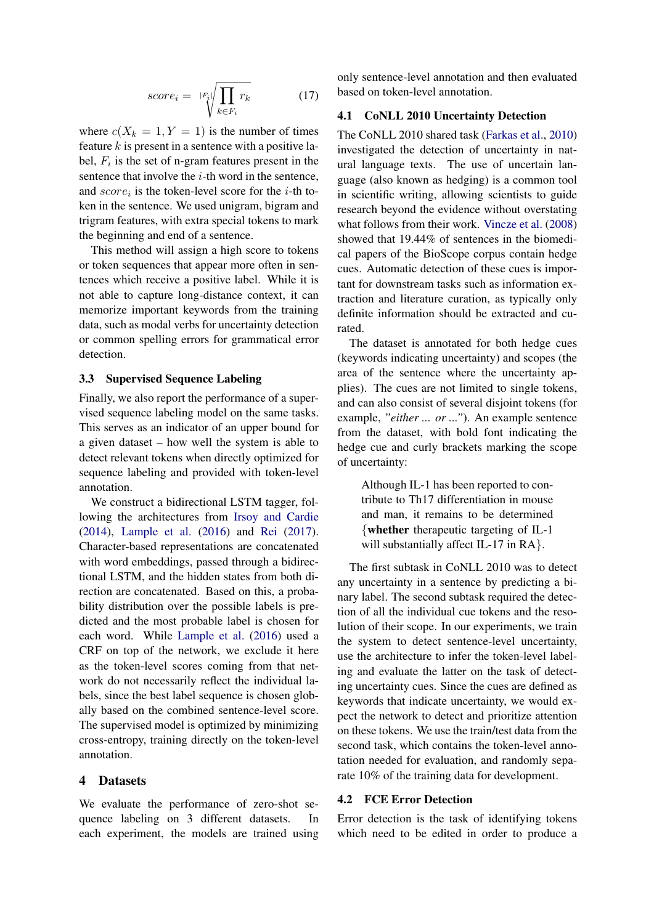$$
score_i = \sqrt{|F_i|} \sqrt{\prod_{k \in F_i} r_k} \tag{17}
$$

where  $c(X_k = 1, Y = 1)$  is the number of times feature  $k$  is present in a sentence with a positive label,  $F_i$  is the set of n-gram features present in the sentence that involve the  $i$ -th word in the sentence, and  $score_i$  is the token-level score for the *i*-th token in the sentence. We used unigram, bigram and trigram features, with extra special tokens to mark the beginning and end of a sentence.

This method will assign a high score to tokens or token sequences that appear more often in sentences which receive a positive label. While it is not able to capture long-distance context, it can memorize important keywords from the training data, such as modal verbs for uncertainty detection or common spelling errors for grammatical error detection.

#### <span id="page-4-0"></span>3.3 Supervised Sequence Labeling

Finally, we also report the performance of a supervised sequence labeling model on the same tasks. This serves as an indicator of an upper bound for a given dataset – how well the system is able to detect relevant tokens when directly optimized for sequence labeling and provided with token-level annotation.

We construct a bidirectional LSTM tagger, following the architectures from [Irsoy and Cardie](#page-8-0) [\(2014\)](#page-8-0), [Lample et al.](#page-9-0) [\(2016\)](#page-9-0) and [Rei](#page-9-8) [\(2017\)](#page-9-8). Character-based representations are concatenated with word embeddings, passed through a bidirectional LSTM, and the hidden states from both direction are concatenated. Based on this, a probability distribution over the possible labels is predicted and the most probable label is chosen for each word. While [Lample et al.](#page-9-0) [\(2016\)](#page-9-0) used a CRF on top of the network, we exclude it here as the token-level scores coming from that network do not necessarily reflect the individual labels, since the best label sequence is chosen globally based on the combined sentence-level score. The supervised model is optimized by minimizing cross-entropy, training directly on the token-level annotation.

#### 4 Datasets

We evaluate the performance of zero-shot sequence labeling on 3 different datasets. In each experiment, the models are trained using

only sentence-level annotation and then evaluated based on token-level annotation.

#### 4.1 CoNLL 2010 Uncertainty Detection

The CoNLL 2010 shared task [\(Farkas et al.,](#page-8-6) [2010\)](#page-8-6) investigated the detection of uncertainty in natural language texts. The use of uncertain language (also known as hedging) is a common tool in scientific writing, allowing scientists to guide research beyond the evidence without overstating what follows from their work. [Vincze et al.](#page-9-9) [\(2008\)](#page-9-9) showed that 19.44% of sentences in the biomedical papers of the BioScope corpus contain hedge cues. Automatic detection of these cues is important for downstream tasks such as information extraction and literature curation, as typically only definite information should be extracted and curated.

The dataset is annotated for both hedge cues (keywords indicating uncertainty) and scopes (the area of the sentence where the uncertainty applies). The cues are not limited to single tokens, and can also consist of several disjoint tokens (for example, *"either ... or ..."*). An example sentence from the dataset, with bold font indicating the hedge cue and curly brackets marking the scope of uncertainty:

Although IL-1 has been reported to contribute to Th17 differentiation in mouse and man, it remains to be determined {whether therapeutic targeting of IL-1 will substantially affect IL-17 in RA }.

The first subtask in CoNLL 2010 was to detect any uncertainty in a sentence by predicting a binary label. The second subtask required the detection of all the individual cue tokens and the resolution of their scope. In our experiments, we train the system to detect sentence-level uncertainty, use the architecture to infer the token-level labeling and evaluate the latter on the task of detecting uncertainty cues. Since the cues are defined as keywords that indicate uncertainty, we would expect the network to detect and prioritize attention on these tokens. We use the train/test data from the second task, which contains the token-level annotation needed for evaluation, and randomly separate 10% of the training data for development.

### 4.2 FCE Error Detection

Error detection is the task of identifying tokens which need to be edited in order to produce a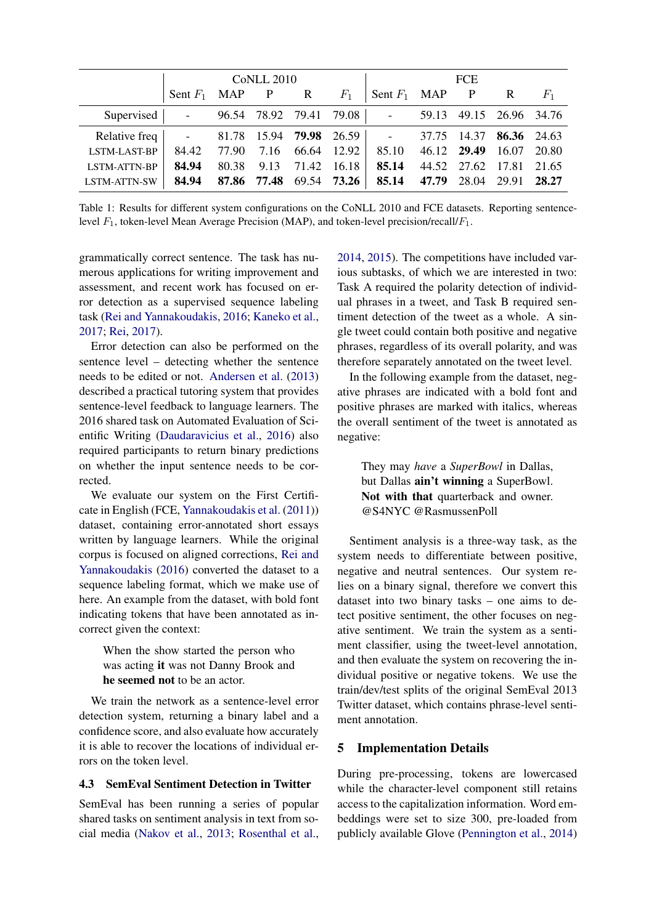|                                                  | CoNLL 2010               |  |                        |  | <b>FCE</b>                   |                          |  |  |                                |  |
|--------------------------------------------------|--------------------------|--|------------------------|--|------------------------------|--------------------------|--|--|--------------------------------|--|
|                                                  | Sent $F_1$ MAP P R $F_1$ |  |                        |  |                              | Sent $F_1$ MAP P R $F_1$ |  |  |                                |  |
| Supervised   - 96.54 78.92 79.41 79.08   -       |                          |  |                        |  |                              |                          |  |  | 59.13 49.15 26.96 34.76        |  |
| Relative freq   - 81.78 15.94 <b>79.98</b> 26.59 |                          |  |                        |  |                              |                          |  |  | 37.75 14.37 <b>86.36</b> 24.63 |  |
| <b>LSTM-LAST-BP</b>                              |                          |  |                        |  | 84.42 77.90 7.16 66.64 12.92 | 85.10                    |  |  | 46.12 29.49 16.07 20.80        |  |
| <b>LSTM-ATTN-BP</b>                              | 84.94                    |  | 80.38 9.13 71.42 16.18 |  |                              | 85.14                    |  |  | 44.52 27.62 17.81 21.65        |  |
| LSTM-ATTN-SW                                     | 84.94                    |  |                        |  | 87.86 77.48 69.54 73.26      | 85.14                    |  |  | 47.79 28.04 29.91 28.27        |  |

<span id="page-5-0"></span>Table 1: Results for different system configurations on the CoNLL 2010 and FCE datasets. Reporting sentencelevel  $F_1$ , token-level Mean Average Precision (MAP), and token-level precision/recall/ $F_1$ .

grammatically correct sentence. The task has numerous applications for writing improvement and assessment, and recent work has focused on error detection as a supervised sequence labeling task [\(Rei and Yannakoudakis,](#page-9-10) [2016;](#page-9-10) [Kaneko et al.,](#page-9-11) [2017;](#page-9-11) [Rei,](#page-9-8) [2017\)](#page-9-8).

Error detection can also be performed on the sentence level – detecting whether the sentence needs to be edited or not. [Andersen et al.](#page-8-7) [\(2013\)](#page-8-7) described a practical tutoring system that provides sentence-level feedback to language learners. The 2016 shared task on Automated Evaluation of Scientific Writing [\(Daudaravicius et al.,](#page-8-8) [2016\)](#page-8-8) also required participants to return binary predictions on whether the input sentence needs to be corrected.

We evaluate our system on the First Certificate in English (FCE, [Yannakoudakis et al.](#page-9-12) [\(2011\)](#page-9-12)) dataset, containing error-annotated short essays written by language learners. While the original corpus is focused on aligned corrections, [Rei and](#page-9-10) [Yannakoudakis](#page-9-10) [\(2016\)](#page-9-10) converted the dataset to a sequence labeling format, which we make use of here. An example from the dataset, with bold font indicating tokens that have been annotated as incorrect given the context:

When the show started the person who was acting it was not Danny Brook and he seemed not to be an actor.

We train the network as a sentence-level error detection system, returning a binary label and a confidence score, and also evaluate how accurately it is able to recover the locations of individual errors on the token level.

#### 4.3 SemEval Sentiment Detection in Twitter

SemEval has been running a series of popular shared tasks on sentiment analysis in text from social media [\(Nakov et al.,](#page-9-13) [2013;](#page-9-13) [Rosenthal et al.,](#page-9-14) [2014,](#page-9-14) [2015\)](#page-9-15). The competitions have included various subtasks, of which we are interested in two: Task A required the polarity detection of individual phrases in a tweet, and Task B required sentiment detection of the tweet as a whole. A single tweet could contain both positive and negative phrases, regardless of its overall polarity, and was therefore separately annotated on the tweet level.

In the following example from the dataset, negative phrases are indicated with a bold font and positive phrases are marked with italics, whereas the overall sentiment of the tweet is annotated as negative:

They may *have* a *SuperBowl* in Dallas, but Dallas ain't winning a SuperBowl. Not with that quarterback and owner. @S4NYC @RasmussenPoll

Sentiment analysis is a three-way task, as the system needs to differentiate between positive, negative and neutral sentences. Our system relies on a binary signal, therefore we convert this dataset into two binary tasks – one aims to detect positive sentiment, the other focuses on negative sentiment. We train the system as a sentiment classifier, using the tweet-level annotation, and then evaluate the system on recovering the individual positive or negative tokens. We use the train/dev/test splits of the original SemEval 2013 Twitter dataset, which contains phrase-level sentiment annotation.

#### 5 Implementation Details

During pre-processing, tokens are lowercased while the character-level component still retains access to the capitalization information. Word embeddings were set to size 300, pre-loaded from publicly available Glove [\(Pennington et al.,](#page-9-16) [2014\)](#page-9-16)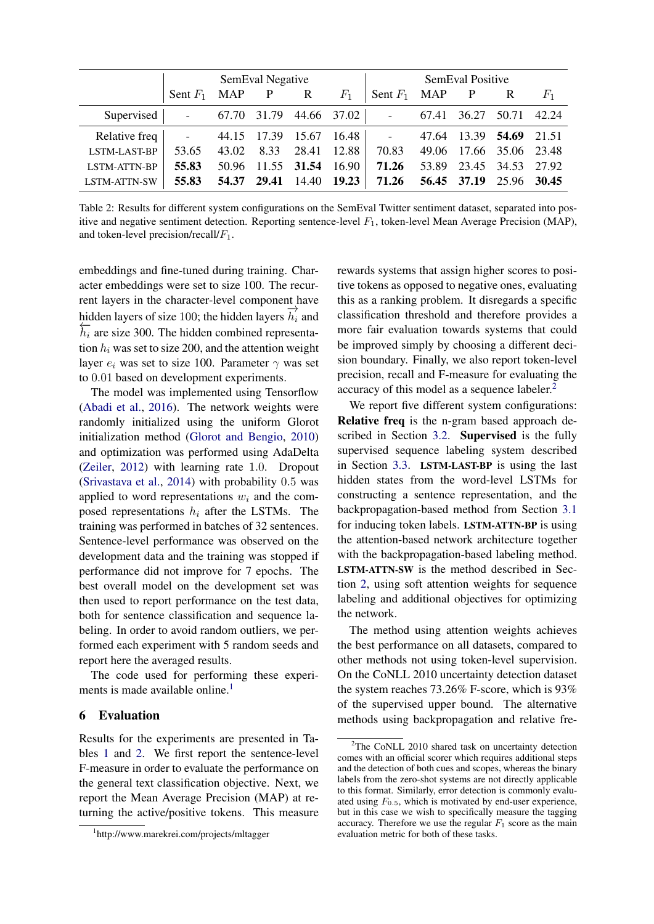|                                           | SemEval Negative<br>and the state of the state of |       |      |                   | SemEval Positive  |                    |       |                         |                   |       |
|-------------------------------------------|---------------------------------------------------|-------|------|-------------------|-------------------|--------------------|-------|-------------------------|-------------------|-------|
|                                           | Sent $F_1$ MAP P R                                |       |      |                   | $F_1$             | Sent $F_1$ MAP P R |       |                         |                   | $F_1$ |
| Supervised   - 67.70 31.79 44.66 37.02    |                                                   |       |      |                   |                   | المستوفي والمنابذ  | 67.41 |                         | 36.27 50.71 42.24 |       |
| Relative freq   - 44.15 17.39 15.67 16.48 |                                                   |       |      |                   |                   |                    |       | 47.64 13.39 54.69 21.51 |                   |       |
| LSTM-LAST-BP                              | 53.65                                             | 43.02 | 8.33 | 28.41 12.88       |                   | 70.83              |       | 49.06 17.66 35.06 23.48 |                   |       |
| <b>LSTM-ATTN-BP</b>                       | 55.83                                             | 50.96 |      |                   | 11.55 31.54 16.90 | 71.26              |       | 53.89 23.45 34.53 27.92 |                   |       |
| LSTM-ATTN-SW                              | 55.83                                             | 54.37 |      | 29.41 14.40 19.23 |                   | 71.26              |       | 56.45 37.19 25.96 30.45 |                   |       |

<span id="page-6-1"></span>Table 2: Results for different system configurations on the SemEval Twitter sentiment dataset, separated into positive and negative sentiment detection. Reporting sentence-level  $F_1$ , token-level Mean Average Precision (MAP), and token-level precision/recall/ $F_1$ .

embeddings and fine-tuned during training. Character embeddings were set to size 100. The recurrent layers in the character-level component have hidden layers in the entitieted fever component  $\frac{1}{h_i}$  and hidden layers of size 100; the hidden layers  $\overrightarrow{h_i}$  and  $\frac{h}{h_i}$  are size 300. The hidden combined representation  $h_i$  was set to size 200, and the attention weight layer  $e_i$  was set to size 100. Parameter  $\gamma$  was set to 0.01 based on development experiments.

The model was implemented using Tensorflow [\(Abadi et al.,](#page-8-9) [2016\)](#page-8-9). The network weights were randomly initialized using the uniform Glorot initialization method [\(Glorot and Bengio,](#page-8-10) [2010\)](#page-8-10) and optimization was performed using AdaDelta [\(Zeiler,](#page-9-17) [2012\)](#page-9-17) with learning rate 1.0. Dropout [\(Srivastava et al.,](#page-9-18) [2014\)](#page-9-18) with probability 0.5 was applied to word representations  $w_i$  and the composed representations  $h_i$  after the LSTMs. The training was performed in batches of 32 sentences. Sentence-level performance was observed on the development data and the training was stopped if performance did not improve for 7 epochs. The best overall model on the development set was then used to report performance on the test data, both for sentence classification and sequence labeling. In order to avoid random outliers, we performed each experiment with 5 random seeds and report here the averaged results.

The code used for performing these experi-ments is made available online.<sup>[1](#page-6-0)</sup>

### 6 Evaluation

Results for the experiments are presented in Tables [1](#page-5-0) and [2.](#page-6-1) We first report the sentence-level F-measure in order to evaluate the performance on the general text classification objective. Next, we report the Mean Average Precision (MAP) at returning the active/positive tokens. This measure rewards systems that assign higher scores to positive tokens as opposed to negative ones, evaluating this as a ranking problem. It disregards a specific classification threshold and therefore provides a more fair evaluation towards systems that could be improved simply by choosing a different decision boundary. Finally, we also report token-level precision, recall and F-measure for evaluating the accuracy of this model as a sequence labeler.[2](#page-6-2)

We report five different system configurations: Relative freq is the n-gram based approach described in Section [3.2.](#page-3-0) Supervised is the fully supervised sequence labeling system described in Section [3.3.](#page-4-0) LSTM-LAST-BP is using the last hidden states from the word-level LSTMs for constructing a sentence representation, and the backpropagation-based method from Section [3.1](#page-3-1) for inducing token labels. LSTM-ATTN-BP is using the attention-based network architecture together with the backpropagation-based labeling method. LSTM-ATTN-SW is the method described in Section [2,](#page-0-0) using soft attention weights for sequence labeling and additional objectives for optimizing the network.

The method using attention weights achieves the best performance on all datasets, compared to other methods not using token-level supervision. On the CoNLL 2010 uncertainty detection dataset the system reaches 73.26% F-score, which is 93% of the supervised upper bound. The alternative methods using backpropagation and relative fre-

<span id="page-6-0"></span><sup>1</sup> http://www.marekrei.com/projects/mltagger

<span id="page-6-2"></span> $2$ The CoNLL 2010 shared task on uncertainty detection comes with an official scorer which requires additional steps and the detection of both cues and scopes, whereas the binary labels from the zero-shot systems are not directly applicable to this format. Similarly, error detection is commonly evaluated using  $F_{0.5}$ , which is motivated by end-user experience, but in this case we wish to specifically measure the tagging accuracy. Therefore we use the regular  $F_1$  score as the main evaluation metric for both of these tasks.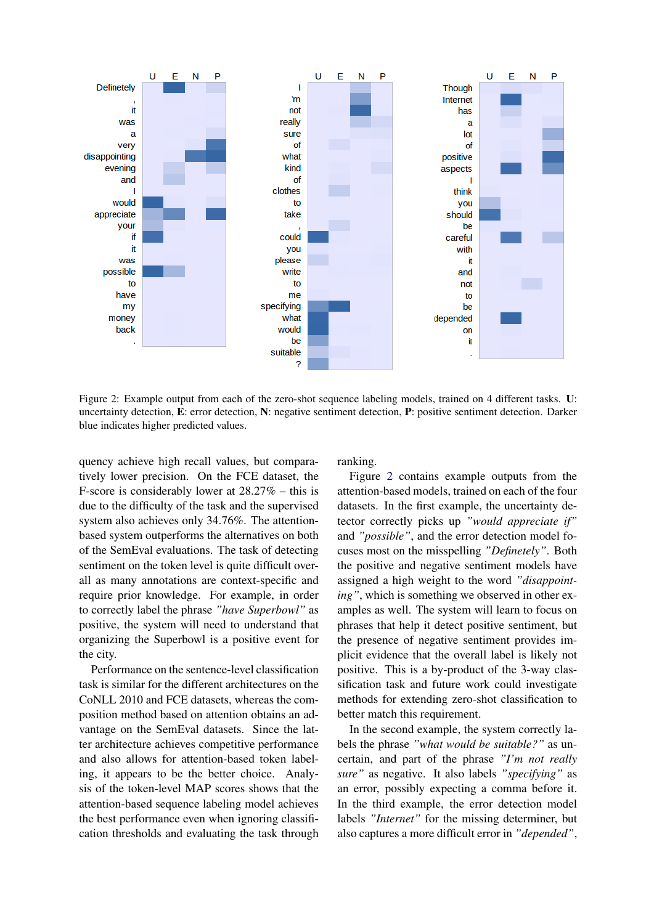

<span id="page-7-0"></span>Figure 2: Example output from each of the zero-shot sequence labeling models, trained on 4 different tasks. U: uncertainty detection, E: error detection, N: negative sentiment detection, P: positive sentiment detection. Darker blue indicates higher predicted values.

quency achieve high recall values, but comparatively lower precision. On the FCE dataset, the F-score is considerably lower at 28.27% – this is due to the difficulty of the task and the supervised system also achieves only 34.76%. The attentionbased system outperforms the alternatives on both of the SemEval evaluations. The task of detecting sentiment on the token level is quite difficult overall as many annotations are context-specific and require prior knowledge. For example, in order to correctly label the phrase *"have Superbowl"* as positive, the system will need to understand that organizing the Superbowl is a positive event for the city.

Performance on the sentence-level classification task is similar for the different architectures on the CoNLL 2010 and FCE datasets, whereas the composition method based on attention obtains an advantage on the SemEval datasets. Since the latter architecture achieves competitive performance and also allows for attention-based token labeling, it appears to be the better choice. Analysis of the token-level MAP scores shows that the attention-based sequence labeling model achieves the best performance even when ignoring classification thresholds and evaluating the task through ranking.

Figure [2](#page-7-0) contains example outputs from the attention-based models, trained on each of the four datasets. In the first example, the uncertainty detector correctly picks up *"would appreciate if"* and *"possible"*, and the error detection model focuses most on the misspelling *"Definetely"*. Both the positive and negative sentiment models have assigned a high weight to the word *"disappointing"*, which is something we observed in other examples as well. The system will learn to focus on phrases that help it detect positive sentiment, but the presence of negative sentiment provides implicit evidence that the overall label is likely not positive. This is a by-product of the 3-way classification task and future work could investigate methods for extending zero-shot classification to better match this requirement.

In the second example, the system correctly labels the phrase *"what would be suitable?"* as uncertain, and part of the phrase *"I'm not really sure"* as negative. It also labels *"specifying"* as an error, possibly expecting a comma before it. In the third example, the error detection model labels *"Internet"* for the missing determiner, but also captures a more difficult error in *"depended"*,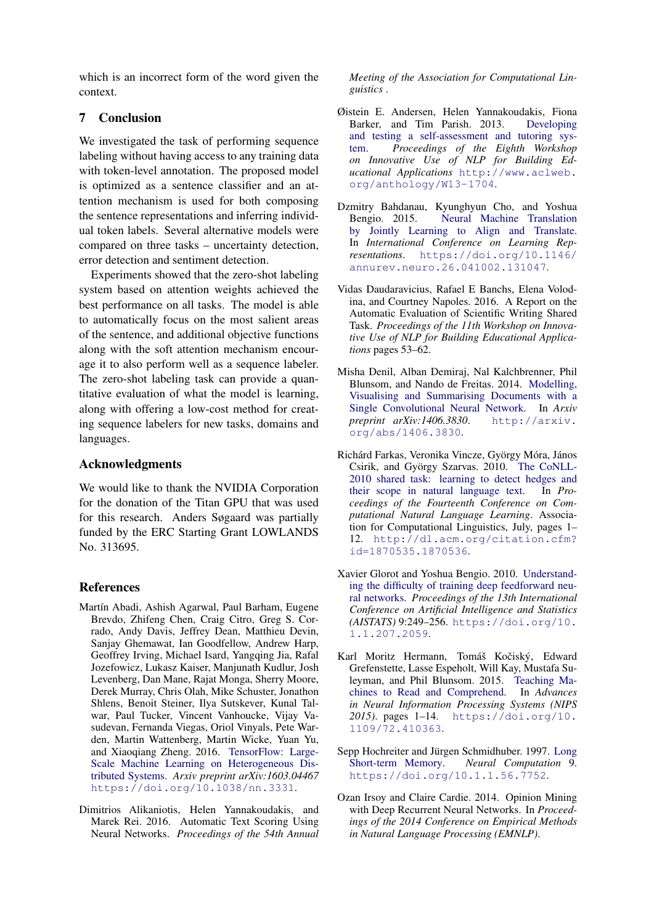which is an incorrect form of the word given the context.

## 7 Conclusion

We investigated the task of performing sequence labeling without having access to any training data with token-level annotation. The proposed model is optimized as a sentence classifier and an attention mechanism is used for both composing the sentence representations and inferring individual token labels. Several alternative models were compared on three tasks – uncertainty detection, error detection and sentiment detection.

Experiments showed that the zero-shot labeling system based on attention weights achieved the best performance on all tasks. The model is able to automatically focus on the most salient areas of the sentence, and additional objective functions along with the soft attention mechanism encourage it to also perform well as a sequence labeler. The zero-shot labeling task can provide a quantitative evaluation of what the model is learning, along with offering a low-cost method for creating sequence labelers for new tasks, domains and languages.

## Acknowledgments

We would like to thank the NVIDIA Corporation for the donation of the Titan GPU that was used for this research. Anders Søgaard was partially funded by the ERC Starting Grant LOWLANDS No. 313695.

## References

- <span id="page-8-9"></span>Martín Abadi, Ashish Agarwal, Paul Barham, Eugene Brevdo, Zhifeng Chen, Craig Citro, Greg S. Corrado, Andy Davis, Jeffrey Dean, Matthieu Devin, Sanjay Ghemawat, Ian Goodfellow, Andrew Harp, Geoffrey Irving, Michael Isard, Yangqing Jia, Rafal Jozefowicz, Lukasz Kaiser, Manjunath Kudlur, Josh Levenberg, Dan Mane, Rajat Monga, Sherry Moore, Derek Murray, Chris Olah, Mike Schuster, Jonathon Shlens, Benoit Steiner, Ilya Sutskever, Kunal Talwar, Paul Tucker, Vincent Vanhoucke, Vijay Vasudevan, Fernanda Viegas, Oriol Vinyals, Pete Warden, Martin Wattenberg, Martin Wicke, Yuan Yu, and Xiaoqiang Zheng. 2016. [TensorFlow: Large-](https://doi.org/10.1038/nn.3331)[Scale Machine Learning on Heterogeneous Dis](https://doi.org/10.1038/nn.3331)[tributed Systems.](https://doi.org/10.1038/nn.3331) *Arxiv preprint arXiv:1603.04467* <https://doi.org/10.1038/nn.3331>.
- <span id="page-8-5"></span>Dimitrios Alikaniotis, Helen Yannakoudakis, and Marek Rei. 2016. Automatic Text Scoring Using Neural Networks. *Proceedings of the 54th Annual*

*Meeting of the Association for Computational Linguistics* .

- <span id="page-8-7"></span>Øistein E. Andersen, Helen Yannakoudakis, Fiona Barker, and Tim Parish. 2013. [Developing](http://www.aclweb.org/anthology/W13-1704) [and testing a self-assessment and tutoring sys](http://www.aclweb.org/anthology/W13-1704)[tem.](http://www.aclweb.org/anthology/W13-1704) *Proceedings of the Eighth Workshop on Innovative Use of NLP for Building Educational Applications* [http://www.aclweb.](http://www.aclweb.org/anthology/W13-1704) [org/anthology/W13-1704](http://www.aclweb.org/anthology/W13-1704).
- <span id="page-8-2"></span>Dzmitry Bahdanau, Kyunghyun Cho, and Yoshua Bengio. 2015. [Neural Machine Translation](https://doi.org/10.1146/annurev.neuro.26.041002.131047) [by Jointly Learning to Align and Translate.](https://doi.org/10.1146/annurev.neuro.26.041002.131047) In *International Conference on Learning Representations*. [https://doi.org/10.1146/](https://doi.org/10.1146/annurev.neuro.26.041002.131047) [annurev.neuro.26.041002.131047](https://doi.org/10.1146/annurev.neuro.26.041002.131047).
- <span id="page-8-8"></span>Vidas Daudaravicius, Rafael E Banchs, Elena Volodina, and Courtney Napoles. 2016. A Report on the Automatic Evaluation of Scientific Writing Shared Task. *Proceedings of the 11th Workshop on Innovative Use of NLP for Building Educational Applications* pages 53–62.
- <span id="page-8-4"></span>Misha Denil, Alban Demiraj, Nal Kalchbrenner, Phil Blunsom, and Nando de Freitas. 2014. [Modelling,](http://arxiv.org/abs/1406.3830) [Visualising and Summarising Documents with a](http://arxiv.org/abs/1406.3830) [Single Convolutional Neural Network.](http://arxiv.org/abs/1406.3830) In *Arxiv preprint arXiv:1406.3830*. [http://arxiv.](http://arxiv.org/abs/1406.3830) [org/abs/1406.3830](http://arxiv.org/abs/1406.3830).
- <span id="page-8-6"></span>Richárd Farkas, Veronika Vincze, György Móra, János Csirik, and György Szarvas. 2010. [The CoNLL-](http://dl.acm.org/citation.cfm?id=1870535.1870536)[2010 shared task: learning to detect hedges and](http://dl.acm.org/citation.cfm?id=1870535.1870536) [their scope in natural language text.](http://dl.acm.org/citation.cfm?id=1870535.1870536) In *Proceedings of the Fourteenth Conference on Computational Natural Language Learning*. Association for Computational Linguistics, July, pages 1– 12. [http://dl.acm.org/citation.cfm?](http://dl.acm.org/citation.cfm?id=1870535.1870536) [id=1870535.1870536](http://dl.acm.org/citation.cfm?id=1870535.1870536).
- <span id="page-8-10"></span>Xavier Glorot and Yoshua Bengio. 2010. [Understand](https://doi.org/10.1.1.207.2059)[ing the difficulty of training deep feedforward neu](https://doi.org/10.1.1.207.2059)[ral networks.](https://doi.org/10.1.1.207.2059) *Proceedings of the 13th International Conference on Artificial Intelligence and Statistics (AISTATS)* 9:249–256. [https://doi.org/10.](https://doi.org/10.1.1.207.2059) [1.1.207.2059](https://doi.org/10.1.1.207.2059).
- <span id="page-8-3"></span>Karl Moritz Hermann, Tomáš Kočiský, Edward Grefenstette, Lasse Espeholt, Will Kay, Mustafa Suleyman, and Phil Blunsom. 2015. [Teaching Ma](https://doi.org/10.1109/72.410363)[chines to Read and Comprehend.](https://doi.org/10.1109/72.410363) In *Advances in Neural Information Processing Systems (NIPS 2015)*. pages 1–14. [https://doi.org/10.](https://doi.org/10.1109/72.410363) [1109/72.410363](https://doi.org/10.1109/72.410363).
- <span id="page-8-1"></span>Sepp Hochreiter and Jürgen Schmidhuber. 1997. [Long](https://doi.org/10.1.1.56.7752) [Short-term Memory.](https://doi.org/10.1.1.56.7752) *Neural Computation* 9. <https://doi.org/10.1.1.56.7752>.
- <span id="page-8-0"></span>Ozan Irsoy and Claire Cardie. 2014. Opinion Mining with Deep Recurrent Neural Networks. In *Proceedings of the 2014 Conference on Empirical Methods in Natural Language Processing (EMNLP)*.